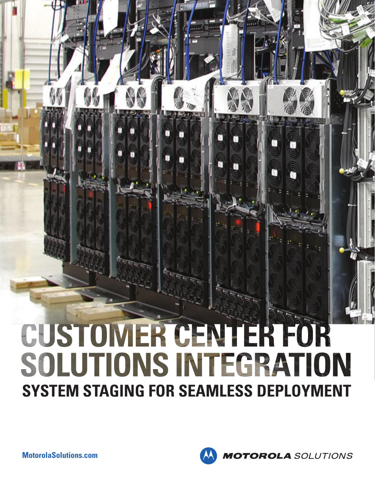# CUSTOMER CENTER FOR SOLUTIONS INTEGRATION **SYSTEM STAGING FOR SEAMLESS DEPLOYMENT**

**MotorolaSolutions.com**